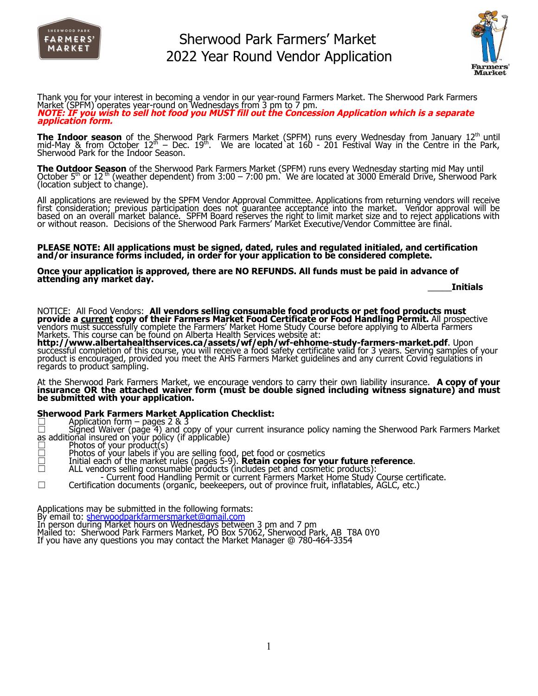



Thank you for your interest in becoming a vendor in our year-round Farmers Market. The Sherwood Park Farmers Market (SPFM) operates year-round on Wednesdays from 3 pm to 7 pm. NOTE: IF you wish to sell hot food you MUST fill out the Concession Application which is a separate **application form.**

**The Indoor season** of the Sherwood Park Farmers Market (SPFM) runs every Wednesday from January 12<sup>th</sup> until mid-May & from October  $12^{th}$  – Dec.  $19^{th}$ . We are located at 160 - 201 Festival Way in the Centre in the Park, Sherwood Park for the Indoor Season.

**The Outdoor Season** of the Sherwood Park Farmers Market (SPFM) runs every Wednesday starting mid May until October 5<sup>th</sup> or 12<sup>th</sup> (weather dependent) from 3:00 – 7:00 pm. We are located at 3000 Emerald Drive, Sherwood Park (location subject to change).

All applications are reviewed by the SPFM Vendor Approval Committee. Applications from returning vendors will receive first consideration; previous participation does not guarantee acceptance into the market. Vendor approval will be based on an overall market balance. SPFM Board reserves the right to limit market size and to reject applications with or without reason. Decisions of the Sherwood Park Farmers' Market Executive/Vendor Committee are final.

#### **PLEASE NOTE: All applications must be signed, dated, rules and regulated initialed, and certification and/or insurance forms included, in order for your application to be considered complete.**

#### **Once your application is approved, there are NO REFUNDS. All funds must be paid in advance of attending any market day.**

\_\_\_\_\_**Initials**

NOTICE: All Food Vendors: **All vendors selling consumable food products or pet food products must provide a current copy of their Farmers Market Food Certificate or Food Handling Permit.** All prospective vendors must successfully complete the Farmers' Market Home Study Course before applying to Alberta Farmers Markets. This course can be found on Alberta Health Services website at:

**http://www.albertahealthservices.ca/assets/wf/eph/wf-ehhome-study-farmers-market.pdf**. Upon successful completion of this course, you will receive a food safety certificate valid for 3 years. Serving samples of your product is encouraged, provided you meet the AHS Farmers Market guidelines and any current Covid regulations in regards to product sampling.

At the Sherwood Park Farmers Market, we encourage vendors to carry their own liability insurance. **A copy of your insurance OR the attached waiver form (must be double signed including witness signature) and must be submitted with your application.**

#### **Sherwood Park Farmers Market Application Checklist:**

 $\Box$  Application form – pages 2 & 3

☐ Signed Waiver (page 4) and copy of your current insurance policy naming the Sherwood Park Farmers Market as additional insured on`your policy (if applicable)<br>□ Photos of your product(s)<br>□ Photos of your labels if you are selling food, pet food or cosmetics

- 
- 
- ☐ Initial each of the market rules (pages 5-9). **Retain copies for your future reference**. ☐ ALL vendors selling consumable products (includes pet and cosmetic products):
- 
- Current food Handling Permit or current Farmers Market Home Study Course certificate. ☐ Certification documents (organic, beekeepers, out of province fruit, inflatables, AGLC, etc.)

Applications may be submitted in the following formats:

By email to: [sherwoodparkfarmersmarket@gmail.com](mailto:sherwoodparkfarmersmarket@gmail.com)

- In person during Market hours on Wednesdays between 3 pm and 7 pm
- Mailed to: Sherwood Park Farmers Market, PO Box 57062, Sherwood Park, AB T8A 0Y0

If you have any questions you may contact the Market Manager @ 780-464-3354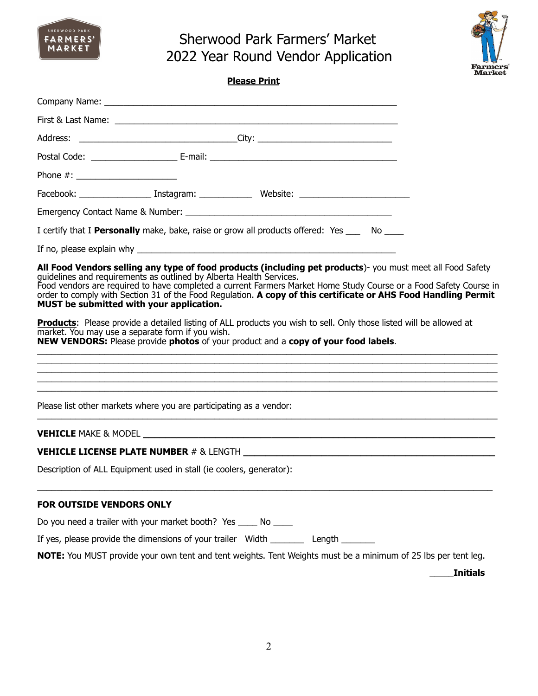



| ٠<br>۰<br>г. | ш |
|--------------|---|
|--------------|---|

| Phone #: $\frac{1}{2}$ = 0.000 m                                                                                |                                                                  |                                                                                                                                                                                                                                                                                                                                                                                                                                                                                                                                                                             |                 |
|-----------------------------------------------------------------------------------------------------------------|------------------------------------------------------------------|-----------------------------------------------------------------------------------------------------------------------------------------------------------------------------------------------------------------------------------------------------------------------------------------------------------------------------------------------------------------------------------------------------------------------------------------------------------------------------------------------------------------------------------------------------------------------------|-----------------|
|                                                                                                                 |                                                                  |                                                                                                                                                                                                                                                                                                                                                                                                                                                                                                                                                                             |                 |
|                                                                                                                 |                                                                  |                                                                                                                                                                                                                                                                                                                                                                                                                                                                                                                                                                             |                 |
|                                                                                                                 |                                                                  | I certify that I Personally make, bake, raise or grow all products offered: Yes ___ No ___                                                                                                                                                                                                                                                                                                                                                                                                                                                                                  |                 |
|                                                                                                                 |                                                                  |                                                                                                                                                                                                                                                                                                                                                                                                                                                                                                                                                                             |                 |
| guidelines and requirements as outlined by Alberta Health Services.<br>MUST be submitted with your application. | market. You may use a separate form if you wish.                 | All Food Vendors selling any type of food products (including pet products)- you must meet all Food Safety<br>Food vendors are required to have completed a current Farmers Market Home Study Course or a Food Safety Course in<br>order to comply with Section 31 of the Food Regulation. A copy of this certificate or AHS Food Handling Permit<br><b>Products:</b> Please provide a detailed listing of ALL products you wish to sell. Only those listed will be allowed at<br><b>NEW VENDORS:</b> Please provide photos of your product and a copy of your food labels. |                 |
| Please list other markets where you are participating as a vendor:                                              |                                                                  |                                                                                                                                                                                                                                                                                                                                                                                                                                                                                                                                                                             |                 |
|                                                                                                                 |                                                                  |                                                                                                                                                                                                                                                                                                                                                                                                                                                                                                                                                                             |                 |
|                                                                                                                 |                                                                  |                                                                                                                                                                                                                                                                                                                                                                                                                                                                                                                                                                             |                 |
| Description of ALL Equipment used in stall (ie coolers, generator):                                             |                                                                  |                                                                                                                                                                                                                                                                                                                                                                                                                                                                                                                                                                             |                 |
| FOR OUTSIDE VENDORS ONLY                                                                                        |                                                                  |                                                                                                                                                                                                                                                                                                                                                                                                                                                                                                                                                                             |                 |
|                                                                                                                 | Do you need a trailer with your market booth? Yes _____ No _____ |                                                                                                                                                                                                                                                                                                                                                                                                                                                                                                                                                                             |                 |
|                                                                                                                 |                                                                  | If yes, please provide the dimensions of your trailer Width ___________ Length ________                                                                                                                                                                                                                                                                                                                                                                                                                                                                                     |                 |
|                                                                                                                 |                                                                  | <b>NOTE:</b> You MUST provide your own tent and tent weights. Tent Weights must be a minimum of 25 lbs per tent leg.                                                                                                                                                                                                                                                                                                                                                                                                                                                        |                 |
|                                                                                                                 |                                                                  |                                                                                                                                                                                                                                                                                                                                                                                                                                                                                                                                                                             | <b>Initials</b> |
|                                                                                                                 |                                                                  |                                                                                                                                                                                                                                                                                                                                                                                                                                                                                                                                                                             |                 |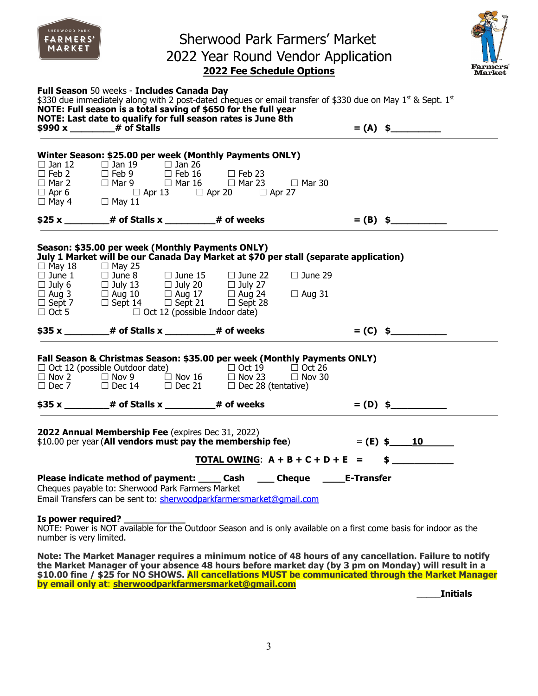|                                  | Full Season 50 weeks - Includes Canada Day<br>\$330 due immediately along with 2 post-dated cheques or email transfer of \$330 due on May 1st & Sept. 1st<br>NOTE: Full season is a total saving of \$650 for the full year<br>NOTE: Last date to qualify for full season rates is June 8th                                                                                                                                  | <b>2022 Fee Schedule Options</b> |                      |                   | $= (A)$ \$ | <b>Farmers</b><br>Market |          |          |          |         |          |          |                      |  |  |  |  |  |
|----------------------------------|------------------------------------------------------------------------------------------------------------------------------------------------------------------------------------------------------------------------------------------------------------------------------------------------------------------------------------------------------------------------------------------------------------------------------|----------------------------------|----------------------|-------------------|------------|--------------------------|----------|----------|----------|---------|----------|----------|----------------------|--|--|--|--|--|
|                                  | Winter Season: \$25.00 per week (Monthly Payments ONLY)<br>$\Box$ Jan 12 $\Box$ Jan 19 $\Box$ Jan 26 $\Box$ Feb 23                                                                                                                                                                                                                                                                                                           |                                  |                      |                   |            |                          |          |          |          |         |          |          |                      |  |  |  |  |  |
|                                  | $$25 x$ $*$ $*$ of Stalls x $*$ $*$ of weeks $*$ $*$ $*$ $*$ $*$ $*$ $*$                                                                                                                                                                                                                                                                                                                                                     |                                  |                      |                   |            |                          |          |          |          |         |          |          |                      |  |  |  |  |  |
|                                  | Season: \$35.00 per week (Monthly Payments ONLY)<br>July 1 Market will be our Canada Day Market at \$70 per stall (separate application)<br>C May 18<br>$\Box$ May 25<br>$\Box$ June 1<br>$\Box$ June 1<br>$\Box$ July 20<br>$\Box$ July 20<br>$\Box$ July 27<br>$\Box$ Aug 31<br>$\Box$ Sept 7<br>$\Box$ Sept 14<br>$\Box$ Sept 21<br>$\Box$ Sept 28<br>$\Box$ Oct 12 (possible Indoor date)                                |                                  | $\Box$ June 29       |                   |            |                          |          |          |          |         |          |          |                      |  |  |  |  |  |
|                                  | \$35 x ______________# of Stalls x _______________# of weeks                                                                                                                                                                                                                                                                                                                                                                 |                                  |                      |                   | $= (C)$ \$ |                          |          |          |          |         |          |          |                      |  |  |  |  |  |
|                                  | Fall Season & Christmas Season: \$35.00 per week (Monthly Payments ONLY)<br><table>\n<tbody>\n<tr>\n<td>□ Oct 12 (possible Outdoor date)</td>\n<td>□ Oct 19</td>\n<td>□ Oct 26</td>\n</tr>\n<tr>\n<td>□ Nov 2</td>\n<td>□ Nov 9</td>\n<td>□ Nov 16</td>\n<td>□ Nov 23</td>\n<td>□ Nov 30</td>\n</tr>\n<tr>\n<td>□ Dec 7</td>\n<td>□ Dec 14</td>\n<td>□ Dec 21</td>\n<td>□ Dec 28 (tentative)</td>\n</tr>\n</tbody>\n</table> | □ Oct 12 (possible Outdoor date) | □ Oct 19             | □ Oct 26          | □ Nov 2    | □ Nov 9                  | □ Nov 16 | □ Nov 23 | □ Nov 30 | □ Dec 7 | □ Dec 14 | □ Dec 21 | □ Dec 28 (tentative) |  |  |  |  |  |
| □ Oct 12 (possible Outdoor date) | □ Oct 19                                                                                                                                                                                                                                                                                                                                                                                                                     | □ Oct 26                         |                      |                   |            |                          |          |          |          |         |          |          |                      |  |  |  |  |  |
| □ Nov 2                          | □ Nov 9                                                                                                                                                                                                                                                                                                                                                                                                                      | □ Nov 16                         | □ Nov 23             | □ Nov 30          |            |                          |          |          |          |         |          |          |                      |  |  |  |  |  |
| □ Dec 7                          | □ Dec 14                                                                                                                                                                                                                                                                                                                                                                                                                     | □ Dec 21                         | □ Dec 28 (tentative) |                   |            |                          |          |          |          |         |          |          |                      |  |  |  |  |  |
|                                  | $$35 x$ 4 def Stalls x 4 defects 4 defined to $*$                                                                                                                                                                                                                                                                                                                                                                            |                                  |                      |                   | $= (D)$ \$ |                          |          |          |          |         |          |          |                      |  |  |  |  |  |
|                                  | 2022 Annual Membership Fee (expires Dec 31, 2022)<br>\$10.00 per year (All vendors must pay the membership fee)                                                                                                                                                                                                                                                                                                              | TOTAL OWING: $A + B + C + D + E$ |                      | $=$ (E) \$<br>$=$ | 10         |                          |          |          |          |         |          |          |                      |  |  |  |  |  |
|                                  | Please indicate method of payment: _____ Cash<br>Cheques payable to: Sherwood Park Farmers Market<br>Email Transfers can be sent to: sherwoodparkfarmersmarket@gmail.com                                                                                                                                                                                                                                                     |                                  | ___ Cheque           | <b>E-Transfer</b> |            |                          |          |          |          |         |          |          |                      |  |  |  |  |  |
| Is power required?               | NOTE: Power is NOT available for the Outdoor Season and is only available on a first come basis for indoor as the<br>number is very limited.                                                                                                                                                                                                                                                                                 |                                  |                      |                   |            |                          |          |          |          |         |          |          |                      |  |  |  |  |  |

SHERWOOD PARK

the Market Manager of your absence 48 hours before market day (by 3 pm on Monday) will result in a **\$10.00 fine / \$25 for NO SHOWS. All cancellations MUST be communicated through the Market Manager by email only at**: **[sherwoodparkfarmersmarket@gmail.com](mailto:sherwoodparkfarmersmarket@gmail.com)**

\_\_\_\_\_**Initials**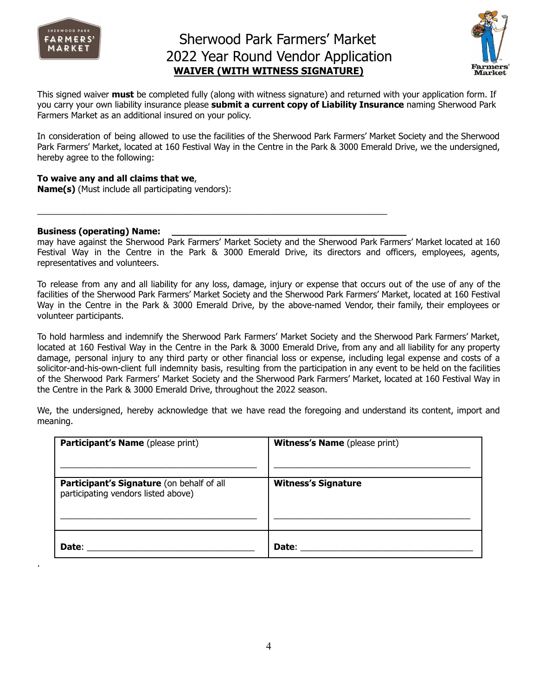

### Sherwood Park Farmers' Market 2022 Year Round Vendor Application **WAIVER (WITH WITNESS SIGNATURE)**



This signed waiver **must** be completed fully (along with witness signature) and returned with your application form. If you carry your own liability insurance please **submit a current copy of Liability Insurance** naming Sherwood Park Farmers Market as an additional insured on your policy.

In consideration of being allowed to use the facilities of the Sherwood Park Farmers' Market Society and the Sherwood Park Farmers' Market, located at 160 Festival Way in the Centre in the Park & 3000 Emerald Drive, we the undersigned, hereby agree to the following:

#### **To waive any and all claims that we**,

**Name(s)** (Must include all participating vendors):

#### **Business (operating) Name: \_\_\_\_\_\_\_\_\_\_\_\_\_\_\_\_\_\_\_\_\_\_\_\_\_\_\_\_\_\_\_\_\_\_\_\_\_\_\_\_\_\_**

.

may have against the Sherwood Park Farmers' Market Society and the Sherwood Park Farmers' Market located at 160 Festival Way in the Centre in the Park & 3000 Emerald Drive, its directors and officers, employees, agents, representatives and volunteers.

 $\_$  , and the set of the set of the set of the set of the set of the set of the set of the set of the set of the set of the set of the set of the set of the set of the set of the set of the set of the set of the set of th

To release from any and all liability for any loss, damage, injury or expense that occurs out of the use of any of the facilities of the Sherwood Park Farmers' Market Society and the Sherwood Park Farmers' Market, located at 160 Festival Way in the Centre in the Park & 3000 Emerald Drive, by the above-named Vendor, their family, their employees or volunteer participants.

To hold harmless and indemnify the Sherwood Park Farmers' Market Society and the Sherwood Park Farmers' Market, located at 160 Festival Way in the Centre in the Park & 3000 Emerald Drive, from any and all liability for any property damage, personal injury to any third party or other financial loss or expense, including legal expense and costs of a solicitor-and-his-own-client full indemnity basis, resulting from the participation in any event to be held on the facilities of the Sherwood Park Farmers' Market Society and the Sherwood Park Farmers' Market, located at 160 Festival Way in the Centre in the Park & 3000 Emerald Drive, throughout the 2022 season.

We, the undersigned, hereby acknowledge that we have read the foregoing and understand its content, import and meaning.

| Participant's Name (please print)                                                | <b>Witness's Name</b> (please print) |
|----------------------------------------------------------------------------------|--------------------------------------|
| Participant's Signature (on behalf of all<br>participating vendors listed above) | <b>Witness's Signature</b>           |
| Date:                                                                            | Date:                                |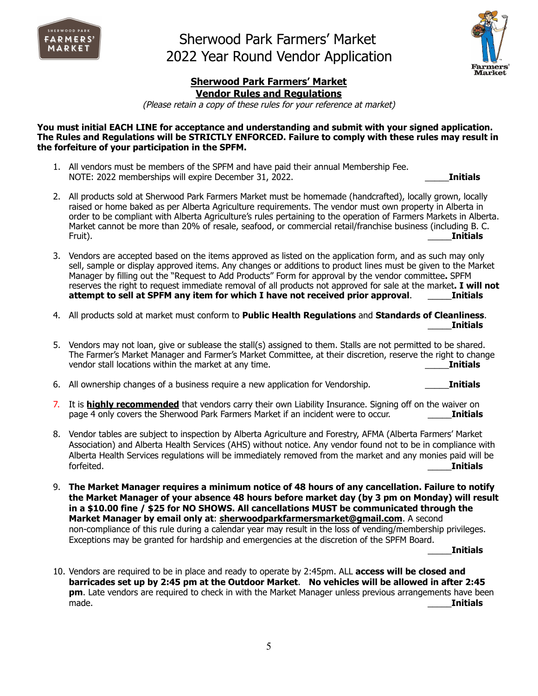



### **Sherwood Park Farmers' Market Vendor Rules and Regulations**

(Please retain <sup>a</sup> copy of these rules for your reference at market)

**You must initial EACH LINE for acceptance and understanding and submit with your signed application. The Rules and Regulations will be STRICTLY ENFORCED. Failure to comply with these rules may result in the forfeiture of your participation in the SPFM.**

1. All vendors must be members of the SPFM and have paid their annual Membership Fee. NOTE: 2022 memberships will expire December 31, 2022. \_\_\_\_\_**Initials**

- 2. All products sold at Sherwood Park Farmers Market must be homemade (handcrafted), locally grown, locally raised or home baked as per Alberta Agriculture requirements. The vendor must own property in Alberta in order to be compliant with Alberta Agriculture's rules pertaining to the operation of Farmers Markets in Alberta. Market cannot be more than 20% of resale, seafood, or commercial retail/franchise business (including B. C. Fruit). \_\_\_\_\_**Initials**
- 3. Vendors are accepted based on the items approved as listed on the application form, and as such may only sell, sample or display approved items. Any changes or additions to product lines must be given to the Market Manager by filling out the "Request to Add Products" Form for approval by the vendor committee**.** SPFM reserves the right to request immediate removal of all products not approved for sale at the market**. I will not attempt to sell at SPFM any item for which I have not received prior approval**. \_\_\_\_\_**Initials**
- 4. All products sold at market must conform to **Public Health Regulations** and **Standards of Cleanliness**. \_\_\_\_\_**Initials**
- 5. Vendors may not loan, give or sublease the stall(s) assigned to them. Stalls are not permitted to be shared. The Farmer's Market Manager and Farmer's Market Committee, at their discretion, reserve the right to change vendor stall locations within the market at any time. \_\_\_\_\_**Initials**
- 6. All ownership changes of a business require a new application for Vendorship. \_\_\_\_\_**Initials**
- 7. It is **highly recommended** that vendors carry their own Liability Insurance. Signing off on the waiver on page 4 only covers the Sherwood Park Farmers Market if an incident were to occur. \_\_\_\_\_**Initials**
- 8. Vendor tables are subject to inspection by Alberta Agriculture and Forestry, AFMA (Alberta Farmers' Market Association) and Alberta Health Services (AHS) without notice. Any vendor found not to be in compliance with Alberta Health Services regulations will be immediately removed from the market and any monies paid will be forfeited. \_\_\_\_\_**Initials**
- 9. **The Market Manager requires a minimum notice of 48 hours of any cancellation. Failure to notify the Market Manager of your absence 48 hours before market day (by 3 pm on Monday) will result in a \$10.00 fine / \$25 for NO SHOWS. All cancellations MUST be communicated through the Market Manager by email only at**: **[sherwoodparkfarmersmarket@gmail.com](mailto:sherwoodparkfarmersmarket@gmail.com)**. A second non-compliance of this rule during a calendar year may result in the loss of vending/membership privileges. Exceptions may be granted for hardship and emergencies at the discretion of the SPFM Board.

\_\_\_\_\_**Initials**

10. Vendors are required to be in place and ready to operate by 2:45pm. ALL **access will be closed and barricades set up by 2:45 pm at the Outdoor Market**. **No vehicles will be allowed in after 2:45 pm**. Late vendors are required to check in with the Market Manager unless previous arrangements have been made. \_\_\_\_\_**Initials**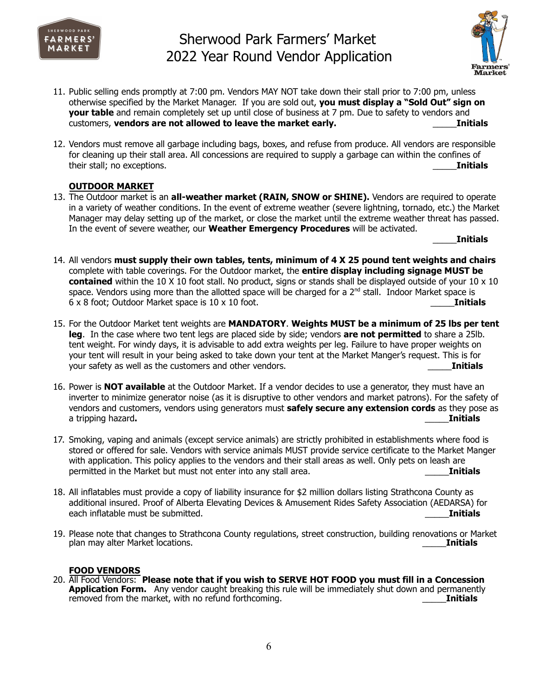



- 11. Public selling ends promptly at 7:00 pm. Vendors MAY NOT take down their stall prior to 7:00 pm, unless otherwise specified by the Market Manager. If you are sold out, **you must display a "Sold Out" sign on your table** and remain completely set up until close of business at 7 pm. Due to safety to vendors and customers, **vendors are not allowed to leave the market early.** \_\_\_\_\_**Initials**
- 12. Vendors must remove all garbage including bags, boxes, and refuse from produce. All vendors are responsible for cleaning up their stall area. All concessions are required to supply a garbage can within the confines of their stall; no exceptions. \_\_\_\_\_**Initials**

### **OUTDOOR MARKET**

13. The Outdoor market is an **all-weather market (RAIN, SNOW or SHINE).** Vendors are required to operate in a variety of weather conditions. In the event of extreme weather (severe lightning, tornado, etc.) the Market Manager may delay setting up of the market, or close the market until the extreme weather threat has passed. In the event of severe weather, our **Weather Emergency Procedures** will be activated.

\_\_\_\_\_**Initials**

- 14. All vendors **must supply their own tables, tents, minimum of 4 X 25 pound tent weights and chairs** complete with table coverings. For the Outdoor market, the **entire display including signage MUST be contained** within the 10 X 10 foot stall. No product, signs or stands shall be displayed outside of your 10 x 10 space. Vendors using more than the allotted space will be charged for a 2<sup>nd</sup> stall. Indoor Market space is 6 x 8 foot; Outdoor Market space is 10 x 10 foot. \_\_\_\_\_**Initials**
- 15. For the Outdoor Market tent weights are **MANDATORY**. **Weights MUST be a minimum of 25 lbs per tent leg**. In the case where two tent legs are placed side by side; vendors **are not permitted** to share a 25lb. tent weight. For windy days, it is advisable to add extra weights per leg. Failure to have proper weights on your tent will result in your being asked to take down your tent at the Market Manger's request. This is for your safety as well as the customers and other vendors. \_\_\_\_\_**Initials**
- 16. Power is **NOT available** at the Outdoor Market. If a vendor decides to use a generator, they must have an inverter to minimize generator noise (as it is disruptive to other vendors and market patrons). For the safety of vendors and customers, vendors using generators must **safely secure any extension cords** as they pose as a tripping hazard**.** \_\_\_\_\_**Initials**
- 17. Smoking, vaping and animals (except service animals) are strictly prohibited in establishments where food is stored or offered for sale. Vendors with service animals MUST provide service certificate to the Market Manger with application. This policy applies to the vendors and their stall areas as well. Only pets on leash are permitted in the Market but must not enter into any stall area. \_\_\_\_\_**Initials**
- 18. All inflatables must provide a copy of liability insurance for \$2 million dollars listing Strathcona County as additional insured. Proof of Alberta Elevating Devices & Amusement Rides Safety Association (AEDARSA) for each inflatable must be submitted. \_\_\_\_\_**Initials**
- 19. Please note that changes to Strathcona County regulations, street construction, building renovations or Market plan may alter Market locations. \_\_\_\_\_**Initials**

### **FOOD VENDORS**

20. All Food Vendors: **Please note that if you wish to SERVE HOT FOOD you must fill in a Concession Application Form.** Any vendor caught breaking this rule will be immediately shut down and permanently removed from the market, with no refund forthcoming. \_\_\_\_\_**Initials**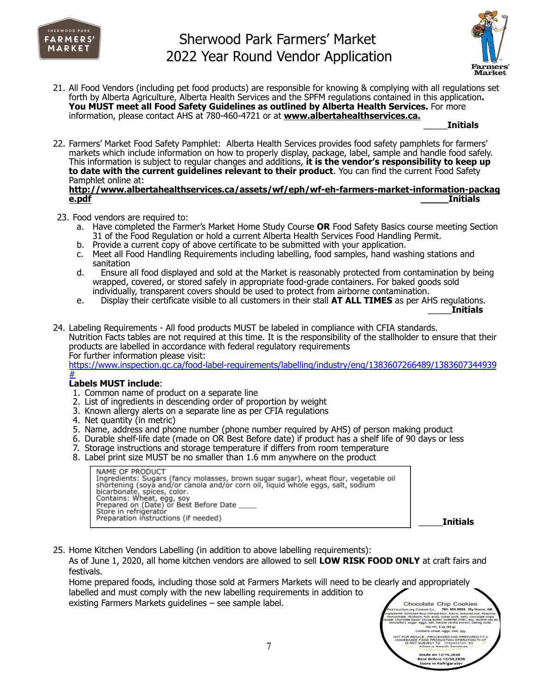



21. All Food Vendors (including pet food products) are responsible for knowing & complying with all regulations set forth by Alberta Agriculture, Alberta Health Services and the SPFM regulations contained in this application**. You MUST meet all Food Safety Guidelines as outlined by Alberta Health Services.** For more information, please contact AHS at 780-460-4721 or at **[www.albertahealthservices.ca.](http://www.albertahealthservices.ca)**

\_\_\_\_\_**Initials**

22. Farmers' Market Food Safety Pamphlet: Alberta Health Services provides food safety pamphlets for farmers' markets which include information on how to properly display, package, label, sample and handle food safely. This information is subject to regular changes and additions, **it is the vendor's responsibility to keep up to date with the current guidelines relevant to their product**. You can find the current Food Safety Pamphlet online at: **[http://www.albertahealthservices.ca/assets/wf/eph/wf-eh-farmers-market-information-packag](http://www.albertahealthservices.ca/assets/wf/eph/wf-eh-farmers-market-information-package.pdf)**

**[e.pdf](http://www.albertahealthservices.ca/assets/wf/eph/wf-eh-farmers-market-information-package.pdf) \_\_\_\_\_Initials**

- 23. Food vendors are required to:
	- a. Have completed the Farmer's Market Home Study Course **OR** Food Safety Basics course meeting Section 31 of the Food Regulation or hold a current Alberta Health Services Food Handling Permit.
	- b. Provide a current copy of above certificate to be submitted with your application.
	- c. Meet all Food Handling Requirements including labelling, food samples, hand washing stations and sanitation
	- d. Ensure all food displayed and sold at the Market is reasonably protected from contamination by being wrapped, covered, or stored safely in appropriate food-grade containers. For baked goods sold individually, transparent covers should be used to protect from airborne contamination.
	- e. Display their certificate visible to all customers in their stall **AT ALL TIMES** as per AHS regulations.

\_\_\_\_\_**Initials**

24. Labeling Requirements - All food products MUST be labeled in compliance with CFIA standards. Nutrition Facts tables are not required at this time. It is the responsibility of the stallholder to ensure that their products are labelled in accordance with federal regulatory requirements For further information please visit:

<https://www.inspection.gc.ca/food-label-requirements/labelling/industry/eng/1383607266489/1383607344939> [#](https://www.inspection.gc.ca/food-label-requirements/labelling/industry/eng/1383607266489/1383607344939)

### **Labels MUST include**:

- 1. Common name of product on a separate line
- 2. List of ingredients in descending order of proportion by weight
- 3. Known allergy alerts on a separate line as per CFIA regulations
- 4. Net quantity (in metric)
- 5. Name, address and phone number (phone number required by AHS) of person making product
- 6. Durable shelf-life date (made on OR Best Before date) if product has a shelf life of 90 days or less
- 7. Storage instructions and storage temperature if differs from room temperature
- 8. Label print size MUST be no smaller than 1.6 mm anywhere on the product

NAME OF PRODUCT NAME OF PKODUCT<br>Ingredients: Sugars (fancy molasses, brown sugar sugar), wheat flour, vegetable oil<br>shortening (soya and/or canola and/or corn oil, liquid whole eggs, salt, sodium<br>bicarbonate, spices, color.<br>Contains: Whea Store in refrigerator Preparation instructions (if needed)

\_\_\_\_\_**Initials**

25. Home Kitchen Vendors Labelling (in addition to above labelling requirements): As of June 1, 2020, all home kitchen vendors are allowed to sell **LOW RISK FOOD ONLY** at craft fairs and festivals.

Home prepared foods, including those sold at Farmers Markets will need to be clearly and appropriately labelled and must comply with the new labelling requirements in addition to existing Farmers Markets guidelines – see sample label.

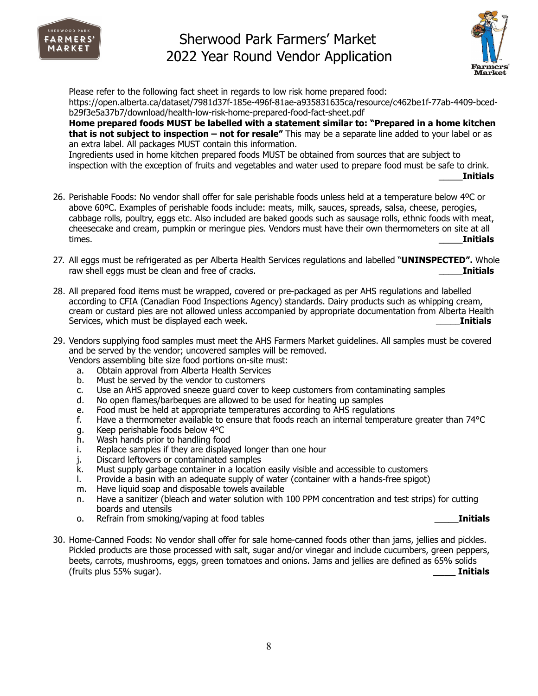



Please refer to the following fact sheet in regards to low risk home prepared food: https://open.alberta.ca/dataset/7981d37f-185e-496f-81ae-a935831635ca/resource/c462be1f-77ab-4409-bcedb29f3e5a37b7/download/health-low-risk-home-prepared-food-fact-sheet.pdf **Home prepared foods MUST be labelled with a statement similar to: "Prepared in a home kitchen that is not subject to inspection – not for resale"** This may be a separate line added to your label or as an extra label. All packages MUST contain this information. Ingredients used in home kitchen prepared foods MUST be obtained from sources that are subject to inspection with the exception of fruits and vegetables and water used to prepare food must be safe to drink.

- \_\_\_\_\_**Initials**
- 26. Perishable Foods: No vendor shall offer for sale perishable foods unless held at a temperature below 4ºC or above 60ºC. Examples of perishable foods include: meats, milk, sauces, spreads, salsa, cheese, perogies, cabbage rolls, poultry, eggs etc. Also included are baked goods such as sausage rolls, ethnic foods with meat, cheesecake and cream, pumpkin or meringue pies. Vendors must have their own thermometers on site at all times. \_\_\_\_\_**Initials**
- 27. All eggs must be refrigerated as per Alberta Health Services regulations and labelled "**UNINSPECTED".** Whole raw shell eggs must be clean and free of cracks. **Example 20 and Security 10 and 10 and 10 and 10 and 10 and 10 and 10 and 10 and 10 and 10 and 10 and 10 and 10 and 10 and 10 and 10 and 10 and 10 and 10 and 10 and 10 and 1**
- 28. All prepared food items must be wrapped, covered or pre-packaged as per AHS regulations and labelled according to CFIA (Canadian Food Inspections Agency) standards. Dairy products such as whipping cream, cream or custard pies are not allowed unless accompanied by appropriate documentation from Alberta Health Services, which must be displayed each week. \_\_\_\_\_**Initials**
- 29. Vendors supplying food samples must meet the AHS Farmers Market guidelines. All samples must be covered and be served by the vendor; uncovered samples will be removed.
	- Vendors assembling bite size food portions on-site must:
		- a. Obtain approval from Alberta Health Services
		- b. Must be served by the vendor to customers
		- c. Use an AHS approved sneeze guard cover to keep customers from contaminating samples
		- d. No open flames/barbeques are allowed to be used for heating up samples
		- e. Food must be held at appropriate temperatures according to AHS regulations
		- f. Have a thermometer available to ensure that foods reach an internal temperature greater than 74°C
		- g. Keep perishable foods below 4°C
		- h. Wash hands prior to handling food
		- i. Replace samples if they are displayed longer than one hour
		- j. Discard leftovers or contaminated samples
		- k. Must supply garbage container in a location easily visible and accessible to customers
		- l. Provide a basin with an adequate supply of water (container with a hands-free spigot)
		- m. Have liquid soap and disposable towels available
		- n. Have a sanitizer (bleach and water solution with 100 PPM concentration and test strips) for cutting boards and utensils
		- o. Refrain from smoking/vaping at food tables \_\_\_\_\_**Initials**
- 
- 30. Home-Canned Foods: No vendor shall offer for sale home-canned foods other than jams, jellies and pickles. Pickled products are those processed with salt, sugar and/or vinegar and include cucumbers, green peppers, beets, carrots, mushrooms, eggs, green tomatoes and onions. Jams and jellies are defined as 65% solids (fruits plus 55% sugar). **\_\_\_\_ Initials**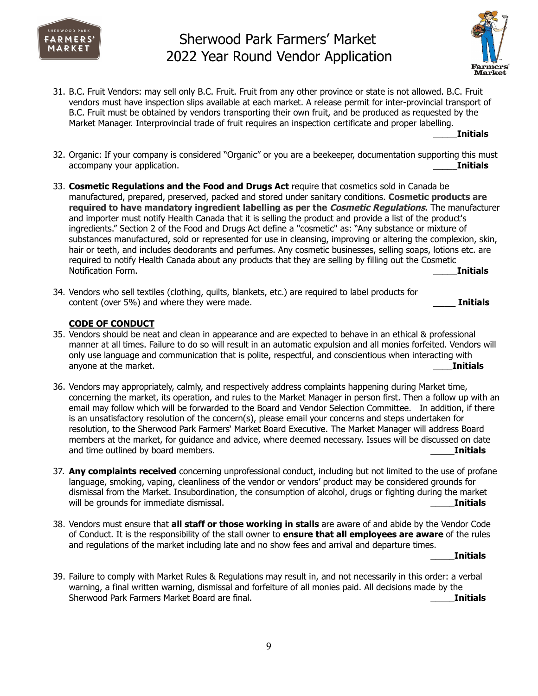



31. B.C. Fruit Vendors: may sell only B.C. Fruit. Fruit from any other province or state is not allowed. B.C. Fruit vendors must have inspection slips available at each market. A release permit for inter-provincial transport of B.C. Fruit must be obtained by vendors transporting their own fruit, and be produced as requested by the Market Manager. Interprovincial trade of fruit requires an inspection certificate and proper labelling.

\_\_\_\_\_**Initials**

- 32. Organic: If your company is considered "Organic" or you are a beekeeper, documentation supporting this must accompany your application. \_\_\_\_\_**Initials**
- 33. **Cosmetic Regulations and the Food and Drugs Act** require that cosmetics sold in Canada be manufactured, prepared, preserved, packed and stored under sanitary conditions. **Cosmetic products are required to have mandatory ingredient labelling as per the Cosmetic Regulations.** The manufacturer and importer must notify Health Canada that it is selling the product and provide a list of the product's ingredients." Section 2 of the Food and Drugs Act define a "cosmetic" as: "Any substance or mixture of substances manufactured, sold or represented for use in cleansing, improving or altering the complexion, skin, hair or teeth, and includes deodorants and perfumes. Any cosmetic businesses, selling soaps, lotions etc. are required to notify Health Canada about any products that they are selling by filling out the Cosmetic Notification Form. \_\_\_\_\_**Initials**
- 34. Vendors who sell textiles (clothing, quilts, blankets, etc.) are required to label products for content (over 5%) and where they were made. **\_\_\_\_ Initials**

### **CODE OF CONDUCT**

- 35. Vendors should be neat and clean in appearance and are expected to behave in an ethical & professional manner at all times. Failure to do so will result in an automatic expulsion and all monies forfeited. Vendors will only use language and communication that is polite, respectful, and conscientious when interacting with anyone at the market. **Example 2018 anyone at the market. Example 2018 anyone at the market.**
- 36. Vendors may appropriately, calmly, and respectively address complaints happening during Market time, concerning the market, its operation, and rules to the Market Manager in person first. Then a follow up with an email may follow which will be forwarded to the Board and Vendor Selection Committee. In addition, if there is an unsatisfactory resolution of the concern(s), please email your concerns and steps undertaken for resolution, to the Sherwood Park Farmers' Market Board Executive. The Market Manager will address Board members at the market, for guidance and advice, where deemed necessary. Issues will be discussed on date and time outlined by board members. **Example 2018** 2019 12:30 and time outlined by board members.
- 37. **Any complaints received** concerning unprofessional conduct, including but not limited to the use of profane language, smoking, vaping, cleanliness of the vendor or vendors' product may be considered grounds for dismissal from the Market. Insubordination, the consumption of alcohol, drugs or fighting during the market will be grounds for immediate dismissal. **Example 20 and 20 and 20 and 20 and 20 and 20 and 20 and 20 and 20 and 20 and 20 and 20 and 20 and 20 and 20 and 20 and 20 and 20 and 20 and 20 and 20 and 20 and 20 and 20 and 20 a**
- 38. Vendors must ensure that **all staff or those working in stalls** are aware of and abide by the Vendor Code of Conduct. It is the responsibility of the stall owner to **ensure that all employees are aware** of the rules and regulations of the market including late and no show fees and arrival and departure times.

\_\_\_\_\_**Initials**

39. Failure to comply with Market Rules & Regulations may result in, and not necessarily in this order: a verbal warning, a final written warning, dismissal and forfeiture of all monies paid. All decisions made by the Sherwood Park Farmers Market Board are final. \_\_\_\_\_**Initials**